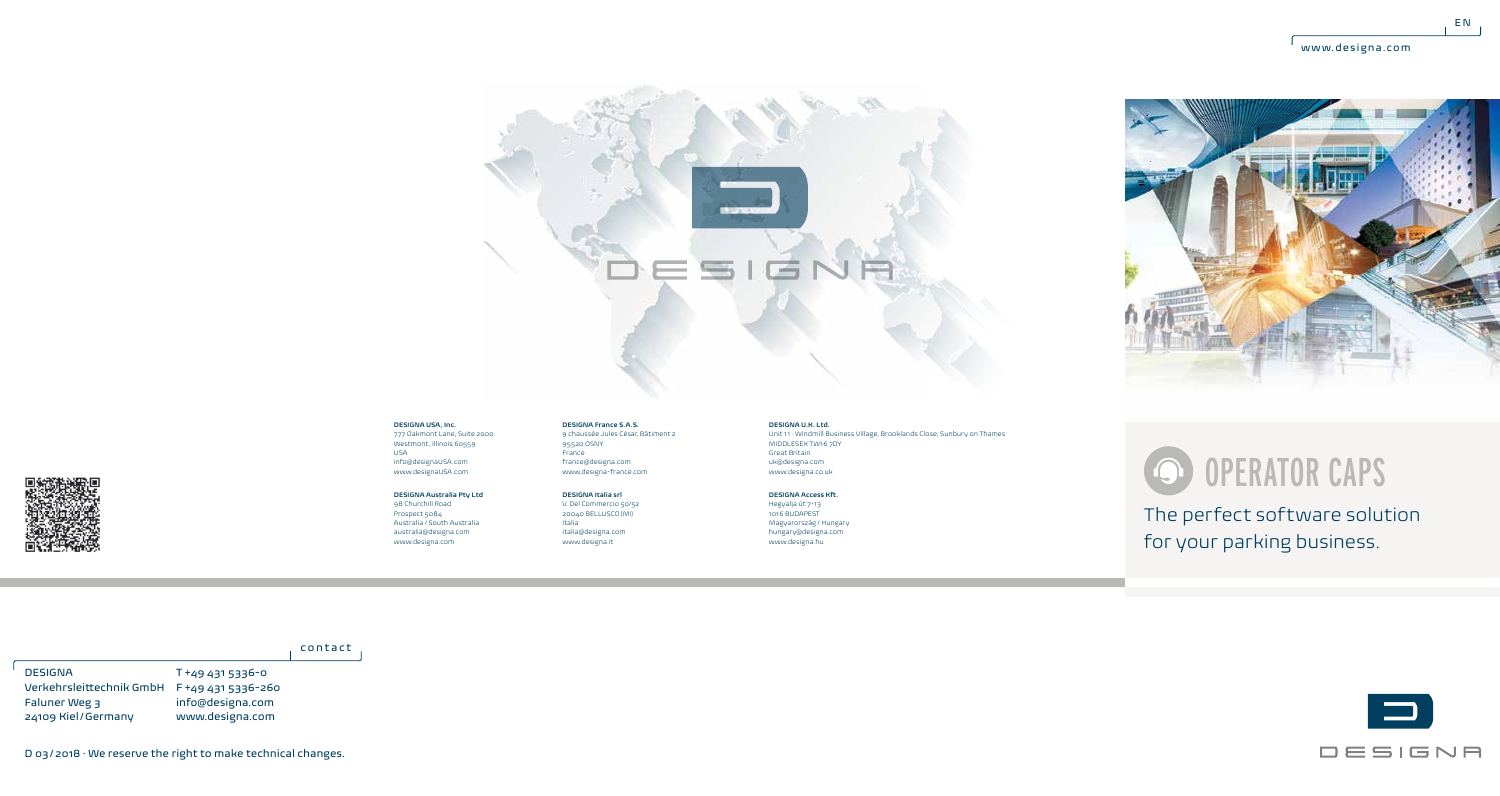



### **DESIGNA USA, Inc.**

777 Oakmont Lane, Suite 2000 Westmont, Illinois 60559 USA info@designaUSA.com www.designaUSA.com

## **DESIGNA Australia Pty Ltd** 98 Churchill Road

Prospect 5084 Australia / South Australia australia@designa.com www.designa.com

95520 OSNY France france@designa.com www.designa-france.com **DESIGNA Italia srl**

**DESIGNA France S.A.S.** 9 chaussée Jules César, Bâtiment 2

V. Del Commercio 50/52 20040 BELLUSCO (MI) Italia italia@designa.com www.designa.it

**DESIGNA U.K. Ltd.** Unit 11 · Windmill Business Village, Brooklands Close, Sunbury on Thames MIDDLESEX TW16 7DY Great Britain uk@designa.com www.designa.co.uk

**DESIGNA Access Kft.** Hegyalja út 7-13 1016 BUDAPEST Magyarország / Hungary hungary@designa.com www.designa.hu

# OPERATOR CAPS

The perfect software solution for your parking business.



# contact

T +49 431 5336-0 Verkehrsleittechnik GmbH F +49 431 5336-260 info@designa.com www.designa.com DESIGNA Faluner Weg 3 24109 Kiel/Germany



D 03/2018 · We reserve the right to make technical changes.